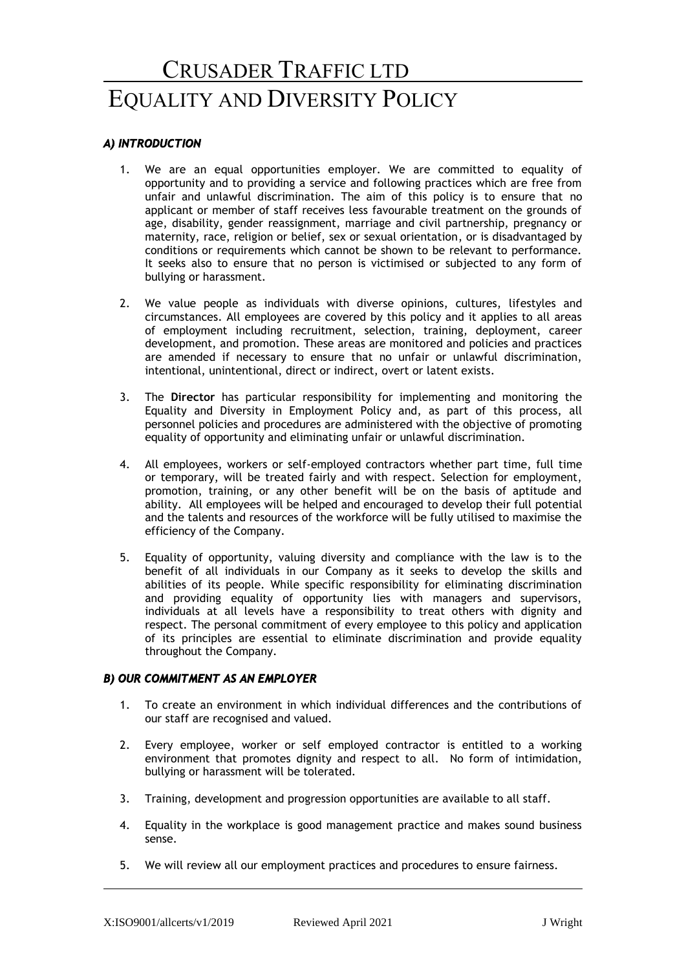# **EQUALITY AND DIVERSITY POLICY** CRUSADER TRAFFIC LTD

# *A) INTRODUCTION*

- 1. We are an equal opportunities employer. We are committed to equality of opportunity and to providing a service and following practices which are free from unfair and unlawful discrimination. The aim of this policy is to ensure that no applicant or member of staff receives less favourable treatment on the grounds of age, disability, gender reassignment, marriage and civil partnership, pregnancy or maternity, race, religion or belief, sex or sexual orientation, or is disadvantaged by conditions or requirements which cannot be shown to be relevant to performance. It seeks also to ensure that no person is victimised or subjected to any form of bullying or harassment.
- 2. We value people as individuals with diverse opinions, cultures, lifestyles and circumstances. All employees are covered by this policy and it applies to all areas of employment including recruitment, selection, training, deployment, career development, and promotion. These areas are monitored and policies and practices are amended if necessary to ensure that no unfair or unlawful discrimination, intentional, unintentional, direct or indirect, overt or latent exists.
- 3. The **Director** has particular responsibility for implementing and monitoring the Equality and Diversity in Employment Policy and, as part of this process, all personnel policies and procedures are administered with the objective of promoting equality of opportunity and eliminating unfair or unlawful discrimination.
- 4. All employees, workers or self-employed contractors whether part time, full time or temporary, will be treated fairly and with respect. Selection for employment, promotion, training, or any other benefit will be on the basis of aptitude and ability. All employees will be helped and encouraged to develop their full potential and the talents and resources of the workforce will be fully utilised to maximise the efficiency of the Company.
- 5. Equality of opportunity, valuing diversity and compliance with the law is to the benefit of all individuals in our Company as it seeks to develop the skills and abilities of its people. While specific responsibility for eliminating discrimination and providing equality of opportunity lies with managers and supervisors, individuals at all levels have a responsibility to treat others with dignity and respect. The personal commitment of every employee to this policy and application of its principles are essential to eliminate discrimination and provide equality throughout the Company.

# *B) OUR COMMITMENT AS AN EMPLOYER*

- 1. To create an environment in which individual differences and the contributions of our staff are recognised and valued.
- 2. Every employee, worker or self employed contractor is entitled to a working environment that promotes dignity and respect to all. No form of intimidation, bullying or harassment will be tolerated.
- 3. Training, development and progression opportunities are available to all staff.
- 4. Equality in the workplace is good management practice and makes sound business sense.
- 5. We will review all our employment practices and procedures to ensure fairness.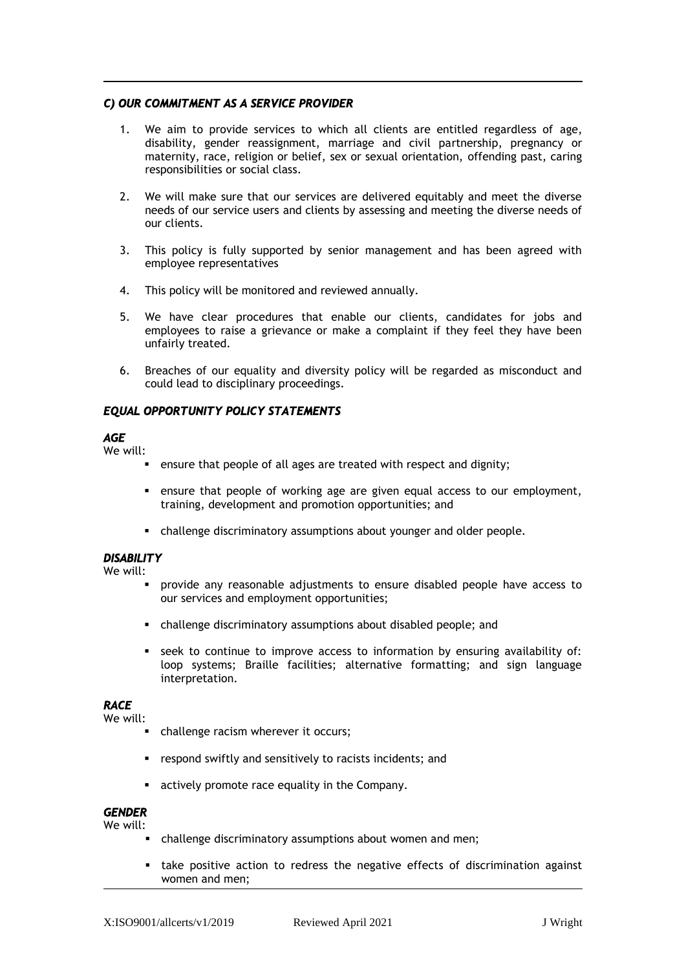# *C) OUR COMMITMENT AS A SERVICE PROVIDER*

- 1. We aim to provide services to which all clients are entitled regardless of age, disability, gender reassignment, marriage and civil partnership, pregnancy or maternity, race, religion or belief, sex or sexual orientation, offending past, caring responsibilities or social class.
- 2. We will make sure that our services are delivered equitably and meet the diverse needs of our service users and clients by assessing and meeting the diverse needs of our clients.
- 3. This policy is fully supported by senior management and has been agreed with employee representatives
- 4. This policy will be monitored and reviewed annually.
- 5. We have clear procedures that enable our clients, candidates for jobs and employees to raise a grievance or make a complaint if they feel they have been unfairly treated.
- 6. Breaches of our equality and diversity policy will be regarded as misconduct and could lead to disciplinary proceedings.

# *EQUAL OPPORTUNITY POLICY STATEMENTS*

## *AGE*

We will:

- ensure that people of all ages are treated with respect and dignity;
- ensure that people of working age are given equal access to our employment, training, development and promotion opportunities; and
- challenge discriminatory assumptions about younger and older people.

# *DISABILITY*

We will:

- provide any reasonable adjustments to ensure disabled people have access to our services and employment opportunities;
- challenge discriminatory assumptions about disabled people; and
- seek to continue to improve access to information by ensuring availability of: loop systems; Braille facilities; alternative formatting; and sign language interpretation.

# *RACE*

We will:

- **•** challenge racism wherever it occurs;
- respond swiftly and sensitively to racists incidents; and
- actively promote race equality in the Company.

#### *GENDER*  We will:

- challenge discriminatory assumptions about women and men;
- take positive action to redress the negative effects of discrimination against women and men;